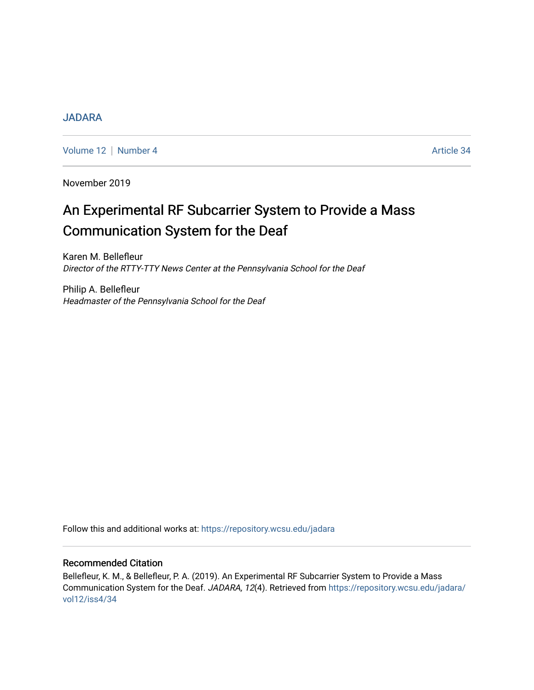# [JADARA](https://repository.wcsu.edu/jadara)

[Volume 12](https://repository.wcsu.edu/jadara/vol12) | [Number 4](https://repository.wcsu.edu/jadara/vol12/iss4) Article 34

November 2019

# An Experimental RF Subcarrier System to Provide a Mass Communication System for the Deaf

Karen M. Bellefleur Director of the RTTY-TTY News Center at the Pennsylvania School for the Deaf

Philip A. Bellefleur Headmaster of the Pennsylvania School for the Deaf

Follow this and additional works at: [https://repository.wcsu.edu/jadara](https://repository.wcsu.edu/jadara?utm_source=repository.wcsu.edu%2Fjadara%2Fvol12%2Fiss4%2F34&utm_medium=PDF&utm_campaign=PDFCoverPages)

## Recommended Citation

Bellefleur, K. M., & Bellefleur, P. A. (2019). An Experimental RF Subcarrier System to Provide a Mass Communication System for the Deaf. JADARA, 12(4). Retrieved from [https://repository.wcsu.edu/jadara/](https://repository.wcsu.edu/jadara/vol12/iss4/34?utm_source=repository.wcsu.edu%2Fjadara%2Fvol12%2Fiss4%2F34&utm_medium=PDF&utm_campaign=PDFCoverPages) [vol12/iss4/34](https://repository.wcsu.edu/jadara/vol12/iss4/34?utm_source=repository.wcsu.edu%2Fjadara%2Fvol12%2Fiss4%2F34&utm_medium=PDF&utm_campaign=PDFCoverPages)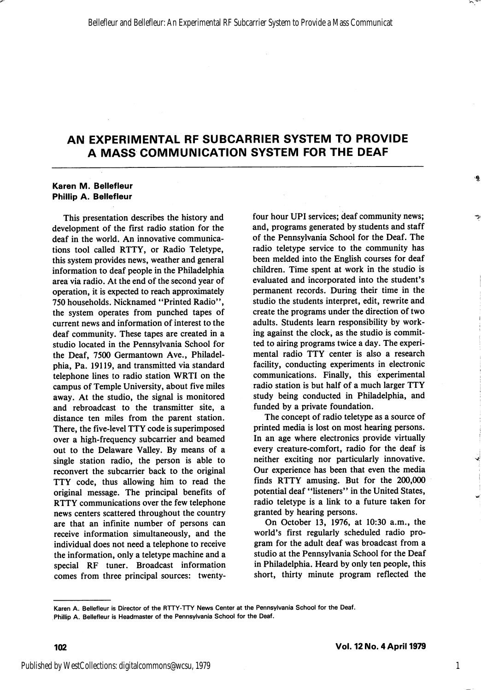#### Karen M. Beliefleur Phillip A. Bellefleur

This presentation describes the history and development of the first radio station for the deaf in the world. An innovative communica tions tool called RTTY, or Radio Teletype, this system provides news, weather and general information to deaf people in the Philadelphia area via radio. At the end of the second year of operation, it is expected to reach approximately 750 households. Nicknamed "Printed Radio", the system operates from punched tapes of current news and information of interest to the deaf community. These tapes are created in a studio located in the Pennsylvania School for the Deaf, 7500 Germantown Ave., Philadel phia, Pa. 19119, and transmitted via standard telephone lines to radio station WRTI on the campus of Temple University, about five miles away. At the studio, the signal is monitored and rebroadcast to the transmitter site, a distance ten miles from the parent station. There, the five-level TTY code is superimposed over a high-frequency subcarrier and beamed out to the Delaware Valley. By means of a single station radio, the person is able to reconvert the subcarrier back to the original TTY code, thus allowing him to read the original message. The principal benefits of RTTY communications over the few telephone news centers scattered throughout the country are that an infinite number of persons can receive information simultaneously, and the individual does not need a telephone to receive the information, only a teletype machine and a special RF tuner. Broadcast information comes from three principal sources: twentyfour hour UPI services; deaf community news; and, programs generated by students and staff of the Pennsylvania School for the Deaf. The radio teletype service to the community has been melded into the English courses for deaf children. Time spent at work in the studio is evaluated and incorporated into the student's permanent records. During their time in the studio the students interpret, edit, rewrite and create the programs under the direction of two adults. Students learn responsibility by work ing against the clock, as the studio is commit ted to airing programs twice a day. The experi mental radio TTY center is also a research facility, conducting experiments in electronic communications. Finally, this experimental radio station is but half of a much larger TTY study being conducted in Philadelphia, and funded by a private foundation.

The concept of radio teletype as a source of printed media is lost on most hearing persons. In an age where electronics provide virtually every creature-comfort, radio for the deaf is neither exciting nor particularly innovative. Our experience has been that even the media finds RTTY amusing. But for the 200,000 potential deaf "listeners" in the United States, radio teletype is a link to a future taken for granted by hearing persons.

On October 13, 1976, at 10:30 a.m., the world's first regularly scheduled radio pro gram for the adult deaf was broadcast from a studio at the Pennsylvania School for the Deaf in Philadelphia. Heard by only ten people, this short, thirty minute program reflected the

Karen A. Bellefleur is Director of the RTTY-TTY News Center at the Pennsylvania School for the Deaf.

Phillip A. Bellefleur is Headmaster of the Pennsylvania School for the Deaf.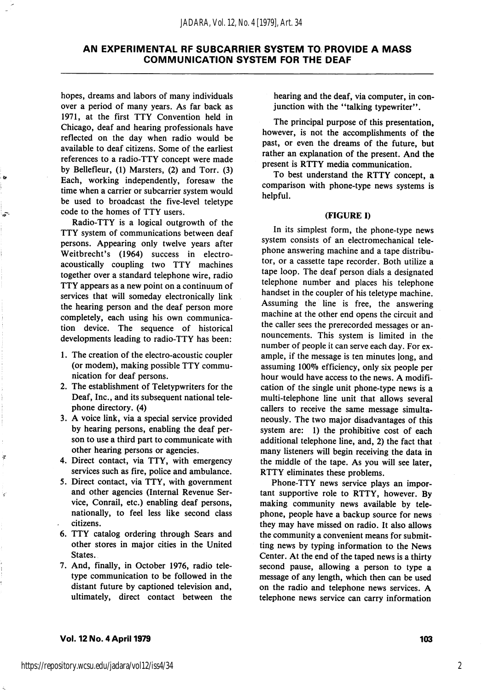hopes, dreams and labors of many individuals over a period of many years. As far back as 1971, at the first TTY Convention held in Chicago, deaf and hearing professionals have reflected on the day when radio would be available to deaf citizens. Some of the earliest references to a radio-TTY concept were made by Bellefleur, (1) Marsters, (2) and Torr. (3) Each, working independently, foresaw the time when a carrier or subcarrier system would be used to broadcast the five-level teletype code to the homes of TTY users.

Radio-TTY is a logical outgrowth of the TTY system of communications between deaf persons. Appearing only twelve years after Weitbrecht's (1964) success in electroacoustically coupling two TTY machines together over a standard telephone wire, radio TTY appears as a new point on a continuum of services that will someday electronically link the hearing person and the deaf person more completely, each using his own communica tion device. The sequence of historical developments leading to radio-TTY has been:

- 1. The creation of the electro-acoustic coupler (or modem), making possible TTY commu nication for deaf persons.
- 2. The establishment of Teletypwriters for the Deaf, Inc., and its subsequent national tele phone directory. (4)
- 3. A voice link, via a special service provided by hearing persons, enabling the deaf per son to use a third part to communicate with other hearing persons or agencies.
- 4. Direct contact, via TTY, with emergency services such as fire, police and ambulance.
- 5. Direct contact, via TTY, with government and other agencies (Internal Revenue Ser vice, Conrail, etc.) enabling deaf persons, nationally, to feel less like second class citizens.
- 6. TTY catalog ordering through Sears and other stores in major cities in the United States.
- 7. And, finally, in October 1976, radio tele type communication to be followed in the distant future by captioned television and, ultimately, direct contact between the

hearing and the deaf, via computer, in con junction with the "talking typewriter".

The principal purpose of this presentation, however, is not the accomplishments of the past, or even the dreams of the future, but rather an explanation of the present. And the present is RTTY media communication.

To best understand the RTTY concept, a comparison with phone-type news systems is helpful.

#### (FIGURE I)

In its simplest form, the phone-type news system consists of an electromechanical tele phone answering machine and a tape distribu tor, or a cassette tape recorder. Both utilize a tape loop. The deaf person dials a designated telephone number and places his telephone handset in the coupler of his teletype machine. Assuming the line is free, the answering machine at the other end opens the circuit and the caller sees the prerecorded messages or an nouncements. This system is limited in the number of people it can serve each day. For ex ample, if the message is ten minutes long, and assuming 100% efficiency, only six people per hour would have access to the news. A modifi cation of the single unit phone-type news is a multi-telephone line unit that allows several callers to receive the same message simulta neously. The two major disadvantages of this system are: 1) the prohibitive cost of each additional telephone line, and, 2) the fact that many listeners will begin receiving the data in the middle of the tape. As you will see later, RTTY eliminates these problems.

Phone-TTY news service plays an impor tant supportive role to RTTY, however. By making community news available by tele phone, people have a backup source for news they may have missed on radio. It also allows the community a convenient means for submit ting news by typing information to the News Center. At the end of the taped news is a thirty second pause, allowing a person to type a message of any length, which then can be used on the radio and telephone news services. A telephone news service can carry information

#### Vol. 12 No. 4 April 1979 103

ì,

2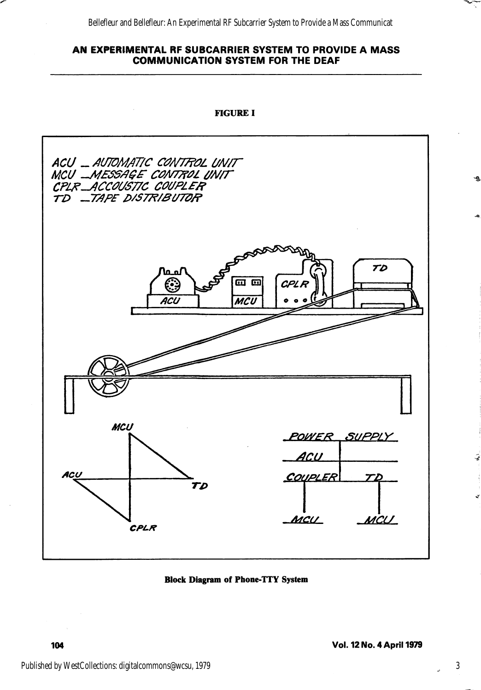Bellefleur and Bellefleur: An Experimental RF Subcarrier System to Provide a Mass Communicat

## AN EXPERIMENTAL RF SUBCARRIER SYSTEM TO PROVIDE A MASS COMMUNICATION SYSTEM FOR THE DEAF



Block Diagram of Phone-TTY System

3

₹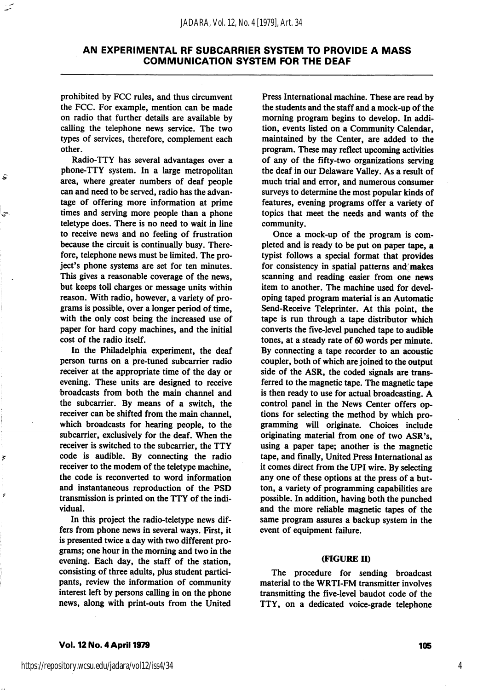prohibited by FCC rules, and thus circumvent the FCC. For example, mention can be made on radio that further details are available by calling the telephone news service. The two types of services, therefore, complement each other.

â

 $\overline{p}$ 

¥

Radio-TTY has several advantages over a phone-TTY system. In a large metropolitan area, where greater numbers of deaf people can and need to be served, radio has the advan tage of offering more information at prime times and serving more people than a phone teletype does. There is no need to wait in line to receive news and no feeling of frustration because the circuit is continually busy. There fore, telephone news must be limited. The pro ject's phone systems are set for ten minutes. This gives a reasonable coverage of the news, but keeps toll charges or message units within reason. With radio, however, a variety of pro grams is possible, over a longer period of time, with the only cost being the increased use of paper for hard copy machines, and the initial cost of the radio itself.

In the Philadelphia experiment, the deaf person turns on a pre-tuned subcarrier radio receiver at the appropriate time of the day or evening. These units are designed to receive broadcasts from both the main channel and the subcarrier. By means of a switch, the receiver can be shifted from the main channel, which broadcasts for hearing people, to the subcarrier, exclusively for the deaf. When the receiver is switched to the subcarrier, the TTY code is audible. By connecting the radio receiver to the modem of the teletype machine, the code is reconverted to word information and instantaneous reproduction of the PSD transmission is printed on the TTY of the indi vidual.

In this project the radio-teletype news dif fers from phone news in several ways. First, it is presented twice a day with two different pro grams; one hour in the morning and two in the evening. Each day, the staff of the station, consisting of three adults, plus student partici pants, review the information of community interest left by persons calling in on the phone news, along with print-outs from the United

Press International machine. These are read by the students and the staff and a mock-up of the morning program begins to develop. In addi tion, events listed on a Community Calendar, maintained by the Center, are added to the program. These may reflect upcoming activities of any of the fifty-two organizations serving the deaf in our Delaware Valley. As a result of much trial and error, and numerous consumer surveys to determine the most popular kinds of features, evening programs offer a variety of topics that meet the needs and wants of the community.

Once a mock-up of the program is com pleted and is ready to be put on paper tape, a typist follows a special format that provides for consistency in spatial patterns and makes scanning and reading easier from one news item to another. The machine used for devel oping taped program material is an Automatic Send-Receive Teleprinter. At this point, the tape is run through a tape distributor which converts the five-level punched tape to audible tones, at a steady rate of 60 words per minute. By connecting a tape recorder to an acoustic coupler, both of which are joined to the output side of the ASR, the coded signals are trans ferred to the magnetic tape. The magnetic tape is then ready to use for actual broadcasting. A control panel in the News Center offers op tions for selecting the method by which pro gramming will originate. Choices include originating material from one of two ASR's, using a paper tape; another is the magnetic tape, and finally. United Press International as it comes direct from the UPI wire. By selecting any one of these options at the press of a but ton, a variety of programming capabilities are possible. In addition, having both the punched and the more reliable magnetic tapes of the same program assures a backup system in the event of equipment failure.

#### (FIGURE II)

The procedure for sending broadcast material to the WRTI-FM transmitter involves transmitting the five-level baudot code of the TTY, on a dedicated voice-grade telephone

4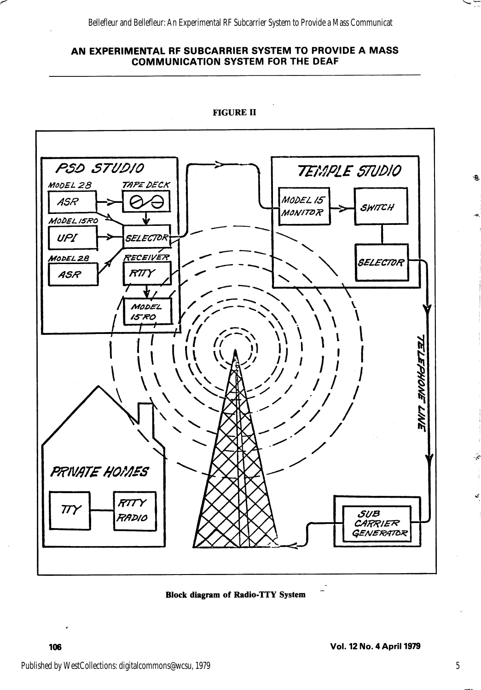

FIGURE II

Block diagram of Radio-TTY System

 $\bullet$ 

É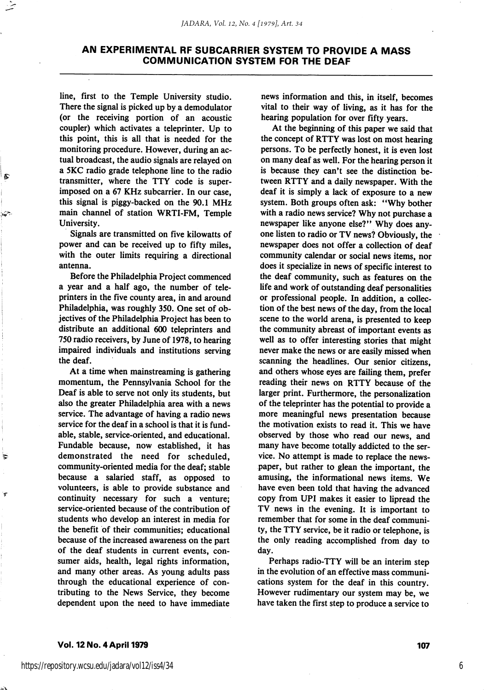line, first to the Temple University studio. There the signal is picked up by a demodulator (or the receiving portion of an acoustic coupler) which activates a teleprinter. Up to this point, this is all that is needed for the monitoring procedure. However, during an ac tual broadcast, the audio signals are relayed on a 5KC radio grade telephone line to the radio transmitter, where the TTY code is super imposed on a 67 KHz subcarrier. In our case, this signal is piggy-backed on the 90.1 MHz main channel of station WRTI-FM, Temple University.

Signals are transmitted on five kilowatts of power and can be received up to fifty miles, with the outer limits requiring a directional antenna.

Before the Philadelphia Project commenced a year and a half ago, the number of tele printers in the five county area, in and around Philadelphia, was roughly 350. One set of ob jectives of the Philadelphia Project has been to distribute an additional 600 teleprinters and 750 radio receivers, by June of 1978, to hearing impaired individuals and institutions serving the deaf.

At a time when mainstreaming is gathering momentum, the Pennsylvania School for the Deaf is able to serve not only its students, but also the greater Philadelphia area with a news service. The advantage of having a radio news service for the deaf in a school is that it is fundable, stable, service-oriented, and educational. Fundable because, now established, it has demonstrated the need for scheduled, community-oriented media for the deaf; stable because a salaried staff, as opposed to volunteers, is able to provide substance and continuity necessary for such a venture; service-oriented because of the contribution of students who develop an interest in media for the benefit of their communities; educational because of the increased awareness on the part of the deaf students in current events, con sumer aids, health, legal rights information, and many other areas. As young adults pass through the educational experience of con tributing to the News Service, they become dependent upon the need to have immediate news information and this, in itself, becomes vital to their way of living, as it has for the hearing population for over fifty years.

At the beginning of this paper we said that the concept of RTTY was lost on most hearing persons. To be perfectly honest, it is even lost on many deaf as well. For the hearing person it is because they can't see the distinction be tween RTTY and a daily newspaper. With the deaf it is simply a lack of exposure to a new system. Both groups often ask: "Why bother with a radio news service? Why not purchase a newspaper like anyone else?" Why does any one listen to radio or TV news? Obviously, the newspaper does not offer a collection of deaf community calendar or social news items, nor does it specialize in news of specific interest to the deaf community, such as features on the life and work of outstanding deaf personalities or professional people. In addition, a collec tion of the best news of the day, from the local scene to the world arena, is presented to keep the community abreast of important events as well as to offer interesting stories that might never make the news or are easily missed when scanning the headlines. Our senior citizens, and others whose eyes are failing them, prefer reading their news on RTTY because of the larger print. Furthermore, the personalization of the teleprinter has the potential to provide a more meaningful news presentation because the motivation exists to read it. This we have observed by those who read our news, and many have become totally addicted to the ser vice. No attempt is made to replace the news paper, but rather to glean the important, the amusing, the informational news items. We have even been told that having the advanced copy from UPI makes it easier to lipread the TV news in the evening. It is important to remember that for some in the deaf communi ty, the TTY service, be it radio or telephone, is the only reading accomplished from day to day.

Perhaps radio-TTY will be an interim step in the evolution of an effective mass communi cations system for the deaf in this country. However rudimentary our system may be, we have taken the first step to produce a service to

#### Vol. 12 No. 4 April 1979 <sup>107</sup>

₹

.<br>T

6